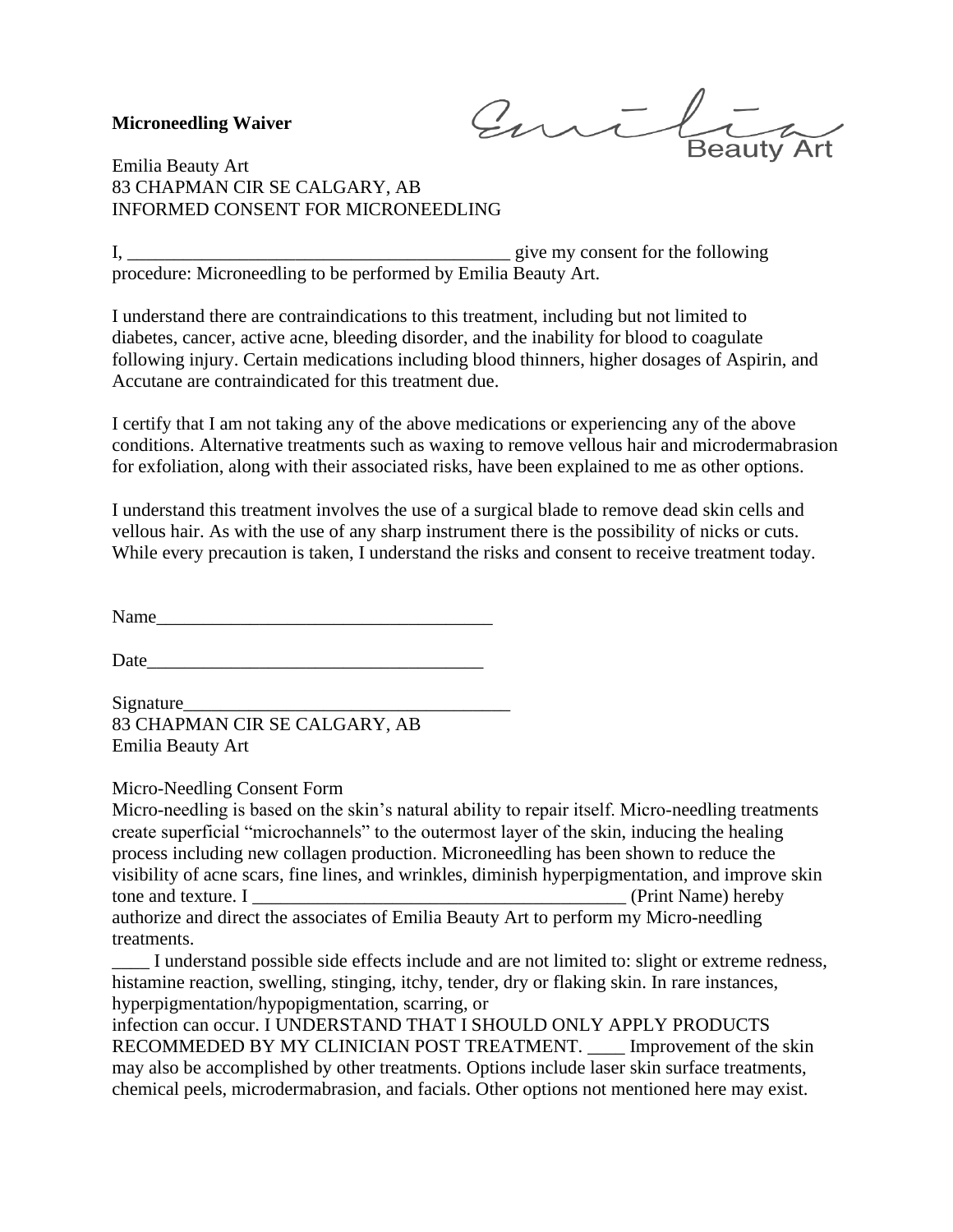## **Microneedling Waiver**

Emil

Emilia Beauty Art 83 CHAPMAN CIR SE CALGARY, AB INFORMED CONSENT FOR MICRONEEDLING

I, *\_\_\_\_\_\_\_\_\_\_\_\_\_\_\_\_\_\_\_\_\_\_\_\_\_\_\_\_\_\_\_\_\_\_\_\_\_\_\_\_\_* give my consent for the following procedure: Microneedling to be performed by Emilia Beauty Art.

I understand there are contraindications to this treatment, including but not limited to diabetes, cancer, active acne, bleeding disorder, and the inability for blood to coagulate following injury. Certain medications including blood thinners, higher dosages of Aspirin, and Accutane are contraindicated for this treatment due.

I certify that I am not taking any of the above medications or experiencing any of the above conditions. Alternative treatments such as waxing to remove vellous hair and microdermabrasion for exfoliation, along with their associated risks, have been explained to me as other options.

I understand this treatment involves the use of a surgical blade to remove dead skin cells and vellous hair. As with the use of any sharp instrument there is the possibility of nicks or cuts. While every precaution is taken, I understand the risks and consent to receive treatment today.

Name

Date

Signature\_\_\_\_\_\_\_\_\_\_\_\_\_\_\_\_\_\_\_\_\_\_\_\_\_\_\_\_\_\_\_\_\_\_\_ 83 CHAPMAN CIR SE CALGARY, AB Emilia Beauty Art

Micro-Needling Consent Form

Micro-needling is based on the skin's natural ability to repair itself. Micro-needling treatments create superficial "microchannels" to the outermost layer of the skin, inducing the healing process including new collagen production. Microneedling has been shown to reduce the visibility of acne scars, fine lines, and wrinkles, diminish hyperpigmentation, and improve skin tone and texture. I *\_\_\_\_\_\_\_\_\_\_\_\_\_\_\_\_\_\_\_\_\_\_\_\_\_\_\_\_\_\_\_\_\_\_\_\_\_\_\_\_* (Print Name) hereby authorize and direct the associates of Emilia Beauty Art to perform my Micro-needling treatments.

*\_\_\_\_* I understand possible side effects include and are not limited to: slight or extreme redness, histamine reaction, swelling, stinging, itchy, tender, dry or flaking skin. In rare instances, hyperpigmentation/hypopigmentation, scarring, or

infection can occur. I UNDERSTAND THAT I SHOULD ONLY APPLY PRODUCTS RECOMMEDED BY MY CLINICIAN POST TREATMENT. *\_\_\_\_* Improvement of the skin may also be accomplished by other treatments. Options include laser skin surface treatments, chemical peels, microdermabrasion, and facials. Other options not mentioned here may exist.